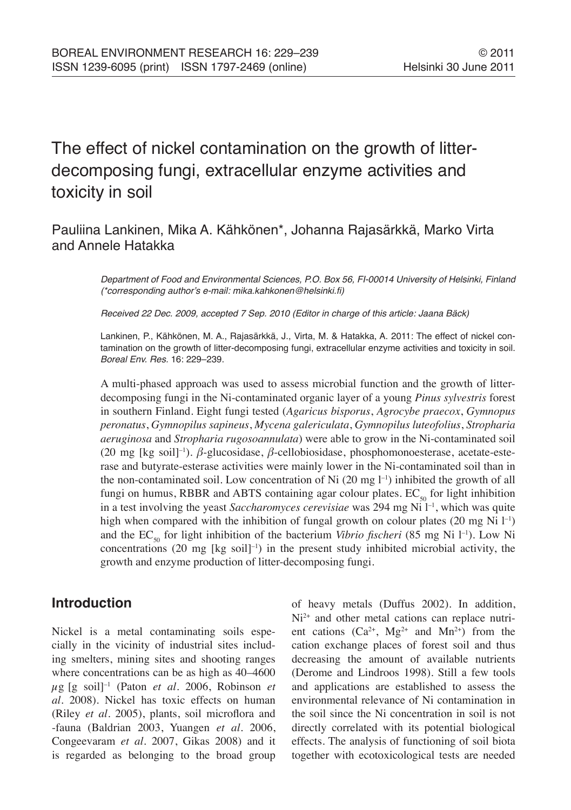# The effect of nickel contamination on the growth of litterdecomposing fungi, extracellular enzyme activities and toxicity in soil

# Pauliina Lankinen, Mika A. Kähkönen\*, Johanna Rajasärkkä, Marko Virta and Annele Hatakka

Department of Food and Environmental Sciences, P.O. Box 56, FI-00014 University of Helsinki, Finland (\*corresponding author's e-mail: mika.kahkonen@helsinki.fi)

Received 22 Dec. 2009, accepted 7 Sep. 2010 (Editor in charge of this article: Jaana Bäck)

Lankinen, P., Kähkönen, M. A., Rajasärkkä, J., Virta, M. & Hatakka, A. 2011: The effect of nickel contamination on the growth of litter-decomposing fungi, extracellular enzyme activities and toxicity in soil. Boreal Env. Res. 16: 229–239.

A multi-phased approach was used to assess microbial function and the growth of litterdecomposing fungi in the Ni-contaminated organic layer of a young *Pinus sylvestris* forest in southern Finland. Eight fungi tested (*Agaricus bisporus*, *Agrocybe praecox*, *Gymnopus peronatus*, *Gymnopilus sapineus*, *Mycena galericulata*, *Gymnopilus luteofolius*, *Stropharia aeruginosa* and *Stropharia rugosoannulata*) were able to grow in the Ni-contaminated soil (20 mg [kg soil]–1). *β*-glucosidase, *β*-cellobiosidase, phosphomonoesterase, acetate-esterase and butyrate-esterase activities were mainly lower in the Ni-contaminated soil than in the non-contaminated soil. Low concentration of Ni  $(20 \text{ mg } l^{-1})$  inhibited the growth of all fungi on humus, RBBR and ABTS containing agar colour plates.  $EC_{50}$  for light inhibition in a test involving the yeast *Saccharomyces cerevisiae* was 294 mg Ni l<sup>-1</sup>, which was quite high when compared with the inhibition of fungal growth on colour plates (20 mg Ni  $l^{-1}$ ) and the  $EC_{50}$  for light inhibition of the bacterium *Vibrio fischeri* (85 mg Ni l<sup>-1</sup>). Low Ni concentrations  $(20 \text{ mg}$  [kg soil]<sup>-1</sup>) in the present study inhibited microbial activity, the growth and enzyme production of litter-decomposing fungi.

# **Introduction**

Nickel is a metal contaminating soils especially in the vicinity of industrial sites including smelters, mining sites and shooting ranges where concentrations can be as high as 40–4600  $\mu$ g [g soil]<sup>-1</sup> (Paton *et al.* 2006, Robinson *et al.* 2008). Nickel has toxic effects on human (Riley *et al.* 2005), plants, soil microflora and -fauna (Baldrian 2003, Yuangen *et al.* 2006, Congeevaram *et al.* 2007, Gikas 2008) and it is regarded as belonging to the broad group of heavy metals (Duffus 2002). In addition, Ni<sup>2+</sup> and other metal cations can replace nutrient cations  $(Ca^{2+}, Mg^{2+}$  and  $Mn^{2+})$  from the cation exchange places of forest soil and thus decreasing the amount of available nutrients (Derome and Lindroos 1998). Still a few tools and applications are established to assess the environmental relevance of Ni contamination in the soil since the Ni concentration in soil is not directly correlated with its potential biological effects. The analysis of functioning of soil biota together with ecotoxicological tests are needed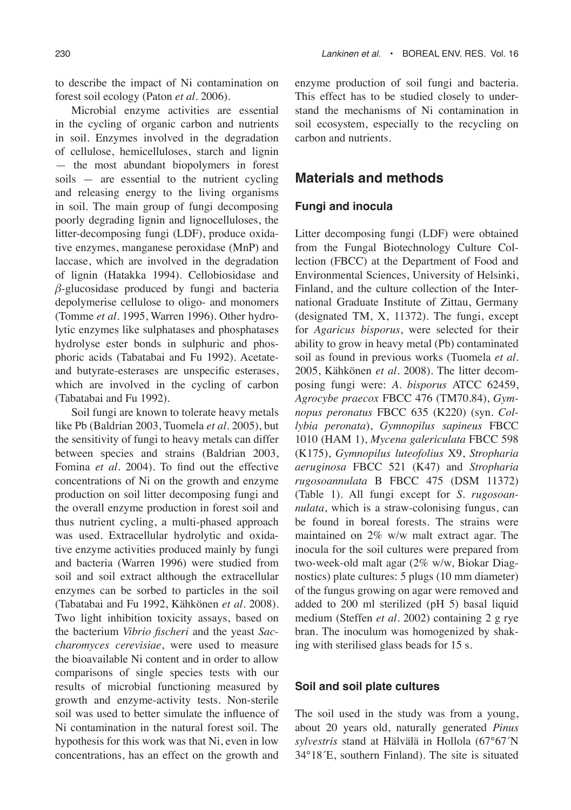to describe the impact of Ni contamination on forest soil ecology (Paton *et al.* 2006).

Microbial enzyme activities are essential in the cycling of organic carbon and nutrients in soil. Enzymes involved in the degradation of cellulose, hemicelluloses, starch and lignin — the most abundant biopolymers in forest soils — are essential to the nutrient cycling and releasing energy to the living organisms in soil. The main group of fungi decomposing poorly degrading lignin and lignocelluloses, the litter-decomposing fungi (LDF), produce oxidative enzymes, manganese peroxidase (MnP) and laccase, which are involved in the degradation of lignin (Hatakka 1994). Cellobiosidase and *β*-glucosidase produced by fungi and bacteria depolymerise cellulose to oligo- and monomers (Tomme *et al.* 1995, Warren 1996). Other hydrolytic enzymes like sulphatases and phosphatases hydrolyse ester bonds in sulphuric and phosphoric acids (Tabatabai and Fu 1992). Acetateand butyrate-esterases are unspecific esterases, which are involved in the cycling of carbon (Tabatabai and Fu 1992).

Soil fungi are known to tolerate heavy metals like Pb (Baldrian 2003, Tuomela *et al.* 2005), but the sensitivity of fungi to heavy metals can differ between species and strains (Baldrian 2003, Fomina *et al.* 2004). To find out the effective concentrations of Ni on the growth and enzyme production on soil litter decomposing fungi and the overall enzyme production in forest soil and thus nutrient cycling, a multi-phased approach was used. Extracellular hydrolytic and oxidative enzyme activities produced mainly by fungi and bacteria (Warren 1996) were studied from soil and soil extract although the extracellular enzymes can be sorbed to particles in the soil (Tabatabai and Fu 1992, Kähkönen *et al.* 2008). Two light inhibition toxicity assays, based on the bacterium *Vibrio fischeri* and the yeast *Saccharomyces cerevisiae*, were used to measure the bioavailable Ni content and in order to allow comparisons of single species tests with our results of microbial functioning measured by growth and enzyme-activity tests. Non-sterile soil was used to better simulate the influence of Ni contamination in the natural forest soil. The hypothesis for this work was that Ni, even in low concentrations, has an effect on the growth and

enzyme production of soil fungi and bacteria. This effect has to be studied closely to understand the mechanisms of Ni contamination in soil ecosystem, especially to the recycling on carbon and nutrients.

## **Materials and methods**

#### **Fungi and inocula**

Litter decomposing fungi (LDF) were obtained from the Fungal Biotechnology Culture Collection (FBCC) at the Department of Food and Environmental Sciences, University of Helsinki, Finland, and the culture collection of the International Graduate Institute of Zittau, Germany (designated TM, X, 11372). The fungi, except for *Agaricus bisporus*, were selected for their ability to grow in heavy metal (Pb) contaminated soil as found in previous works (Tuomela *et al.* 2005, Kähkönen *et al.* 2008). The litter decomposing fungi were: *A. bisporus* ATCC 62459, *Agrocybe praecox* FBCC 476 (TM70.84), *Gymnopus peronatus* FBCC 635 (K220) (syn. *Collybia peronata*), *Gymnopilus sapineus* FBCC 1010 (HAM 1), *Mycena galericulata* FBCC 598 (K175), *Gymnopilus luteofolius* X9, *Stropharia aeruginosa* FBCC 521 (K47) and *Stropharia rugosoannulata* B FBCC 475 (DSM 11372) (Table 1). All fungi except for *S. rugosoannulata*, which is a straw-colonising fungus, can be found in boreal forests. The strains were maintained on 2% w/w malt extract agar. The inocula for the soil cultures were prepared from two-week-old malt agar (2% w/w, Biokar Diagnostics) plate cultures: 5 plugs (10 mm diameter) of the fungus growing on agar were removed and added to 200 ml sterilized (pH 5) basal liquid medium (Steffen *et al.* 2002) containing 2 g rye bran. The inoculum was homogenized by shaking with sterilised glass beads for 15 s.

### **Soil and soil plate cultures**

The soil used in the study was from a young, about 20 years old, naturally generated *Pinus sylvestris* stand at Hälvälä in Hollola (67°67´N 34°18´E, southern Finland). The site is situated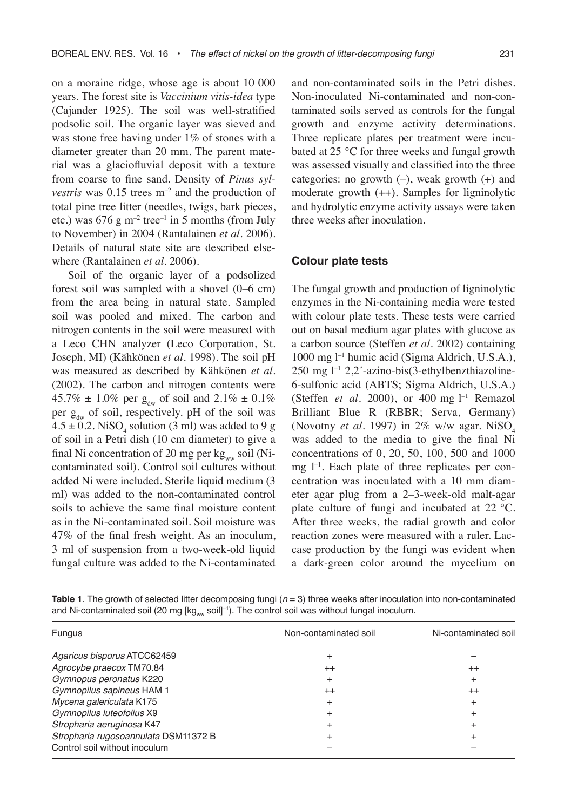on a moraine ridge, whose age is about 10 000 years. The forest site is *Vaccinium vitis-idea* type (Cajander 1925). The soil was well-stratified podsolic soil. The organic layer was sieved and was stone free having under 1% of stones with a diameter greater than 20 mm. The parent material was a glaciofluvial deposit with a texture from coarse to fine sand. Density of *Pinus sylvestris* was  $0.15$  trees  $m^{-2}$  and the production of total pine tree litter (needles, twigs, bark pieces, etc.) was  $676$  g m<sup>-2</sup> tree<sup>-1</sup> in 5 months (from July to November) in 2004 (Rantalainen *et al.* 2006). Details of natural state site are described elsewhere (Rantalainen *et al.* 2006).

Soil of the organic layer of a podsolized forest soil was sampled with a shovel (0–6 cm) from the area being in natural state. Sampled soil was pooled and mixed. The carbon and nitrogen contents in the soil were measured with a Leco CHN analyzer (Leco Corporation, St. Joseph, MI) (Kähkönen *et al.* 1998). The soil pH was measured as described by Kähkönen *et al.* (2002). The carbon and nitrogen contents were 45.7%  $\pm$  1.0% per g<sub>dw</sub> of soil and 2.1%  $\pm$  0.1% per  $g_{dw}$  of soil, respectively. pH of the soil was  $4.5 \pm 0.2$ . NiSO<sub>4</sub> solution (3 ml) was added to 9 g of soil in a Petri dish (10 cm diameter) to give a final Ni concentration of 20 mg per  $kg_{ww}$  soil (Nicontaminated soil). Control soil cultures without added Ni were included. Sterile liquid medium (3 ml) was added to the non-contaminated control soils to achieve the same final moisture content as in the Ni-contaminated soil. Soil moisture was 47% of the final fresh weight. As an inoculum, 3 ml of suspension from a two-week-old liquid fungal culture was added to the Ni-contaminated

and non-contaminated soils in the Petri dishes. Non-inoculated Ni-contaminated and non-contaminated soils served as controls for the fungal growth and enzyme activity determinations. Three replicate plates per treatment were incubated at 25 °C for three weeks and fungal growth was assessed visually and classified into the three categories: no growth  $(-)$ , weak growth  $(+)$  and moderate growth (++). Samples for ligninolytic and hydrolytic enzyme activity assays were taken three weeks after inoculation.

#### **Colour plate tests**

The fungal growth and production of ligninolytic enzymes in the Ni-containing media were tested with colour plate tests. These tests were carried out on basal medium agar plates with glucose as a carbon source (Steffen *et al.* 2002) containing 1000 mg l–1 humic acid (Sigma Aldrich, U.S.A.), 250 mg l–1 2,2´-azino-bis(3-ethylbenzthiazoline-6-sulfonic acid (ABTS; Sigma Aldrich, U.S.A.) (Steffen *et al.* 2000), or 400 mg l –1 Remazol Brilliant Blue R (RBBR; Serva, Germany) (Novotny *et al.* 1997) in 2% w/w agar. NiSO<sub>4</sub> was added to the media to give the final Ni concentrations of 0, 20, 50, 100, 500 and 1000 mg  $l^{-1}$ . Each plate of three replicates per concentration was inoculated with a 10 mm diameter agar plug from a 2–3-week-old malt-agar plate culture of fungi and incubated at 22 °C. After three weeks, the radial growth and color reaction zones were measured with a ruler. Laccase production by the fungi was evident when a dark-green color around the mycelium on

**Table 1**. The growth of selected litter decomposing fungi  $(n = 3)$  three weeks after inoculation into non-contaminated and Ni-contaminated soil (20 mg [kgww soil]<sup>-1</sup>). The control soil was without fungal inoculum.

| <b>Fungus</b>                        | Non-contaminated soil | Ni-contaminated soil |
|--------------------------------------|-----------------------|----------------------|
| Agaricus bisporus ATCC62459          |                       |                      |
| Agrocybe praecox TM70.84             | $^{++}$               | $^{++}$              |
| Gymnopus peronatus K220              | ٠                     | $\pm$                |
| Gymnopilus sapineus HAM 1            | $^{++}$               | $^{++}$              |
| Mycena galericulata K175             | +                     | +                    |
| Gymnopilus luteofolius X9            |                       | +                    |
| Stropharia aeruginosa K47            |                       |                      |
| Stropharia rugosoannulata DSM11372 B |                       | +                    |
| Control soil without inoculum        |                       |                      |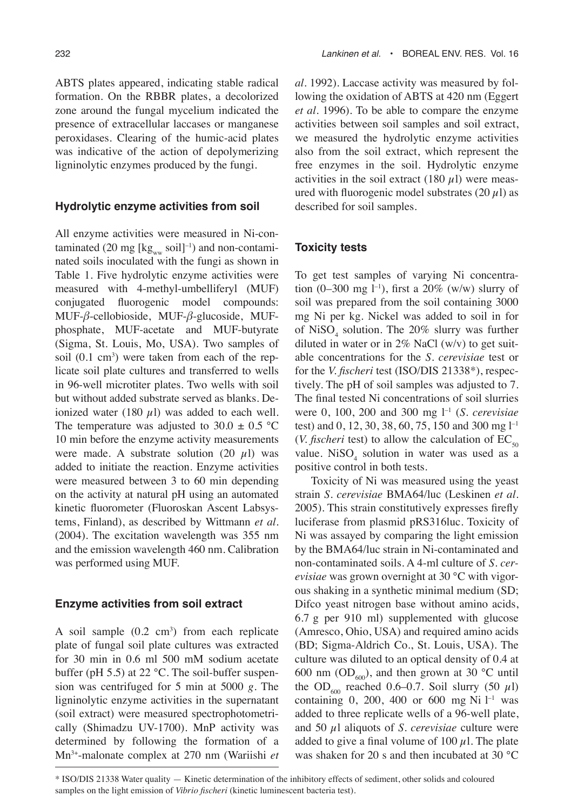ABTS plates appeared, indicating stable radical formation. On the RBBR plates, a decolorized zone around the fungal mycelium indicated the presence of extracellular laccases or manganese peroxidases. Clearing of the humic-acid plates was indicative of the action of depolymerizing ligninolytic enzymes produced by the fungi.

#### **Hydrolytic enzyme activities from soil**

All enzyme activities were measured in Ni-contaminated (20 mg [kgww soil]<sup>-1</sup>) and non-contaminated soils inoculated with the fungi as shown in Table 1. Five hydrolytic enzyme activities were measured with 4-methyl-umbelliferyl (MUF) conjugated fluorogenic model compounds: MUF-*β*-cellobioside, MUF-*β*-glucoside, MUFphosphate, MUF-acetate and MUF-butyrate (Sigma, St. Louis, Mo, USA). Two samples of soil (0.1 cm<sup>3</sup>) were taken from each of the replicate soil plate cultures and transferred to wells in 96-well microtiter plates. Two wells with soil but without added substrate served as blanks. Deionized water (180  $\mu$ l) was added to each well. The temperature was adjusted to  $30.0 \pm 0.5$  °C 10 min before the enzyme activity measurements were made. A substrate solution (20  $\mu$ l) was added to initiate the reaction. Enzyme activities were measured between 3 to 60 min depending on the activity at natural pH using an automated kinetic fluorometer (Fluoroskan Ascent Labsystems, Finland), as described by Wittmann *et al.* (2004). The excitation wavelength was 355 nm and the emission wavelength 460 nm. Calibration was performed using MUF.

#### **Enzyme activities from soil extract**

A soil sample  $(0.2 \text{ cm}^3)$  from each replicate plate of fungal soil plate cultures was extracted for 30 min in 0.6 ml 500 mM sodium acetate buffer (pH 5.5) at 22 °C. The soil-buffer suspension was centrifuged for 5 min at 5000 *g*. The ligninolytic enzyme activities in the supernatant (soil extract) were measured spectrophotometrically (Shimadzu UV-1700). MnP activity was determined by following the formation of a Mn3+-malonate complex at 270 nm (Wariishi *et* 

*al.* 1992). Laccase activity was measured by following the oxidation of ABTS at 420 nm (Eggert *et al.* 1996). To be able to compare the enzyme activities between soil samples and soil extract, we measured the hydrolytic enzyme activities also from the soil extract, which represent the free enzymes in the soil. Hydrolytic enzyme activities in the soil extract (180  $\mu$ l) were measured with fluorogenic model substrates  $(20 \mu l)$  as described for soil samples.

#### **Toxicity tests**

To get test samples of varying Ni concentration (0–300 mg l<sup>-1</sup>), first a 20% (w/w) slurry of soil was prepared from the soil containing 3000 mg Ni per kg. Nickel was added to soil in for of  $\text{NiSO}_4$  solution. The 20% slurry was further diluted in water or in  $2\%$  NaCl (w/v) to get suitable concentrations for the *S. cerevisiae* test or for the *V. fischeri* test (ISO/DIS 21338\*), respectively. The pH of soil samples was adjusted to 7. The final tested Ni concentrations of soil slurries were 0, 100, 200 and 300 mg l–1 (*S. cerevisiae* test) and 0, 12, 30, 38, 60, 75, 150 and 300 mg l–1 (*V. fischeri* test) to allow the calculation of  $EC_{50}$ value.  $NiSO<sub>4</sub>$  solution in water was used as a positive control in both tests.

Toxicity of Ni was measured using the yeast strain *S. cerevisiae* BMA64/luc (Leskinen *et al.* 2005). This strain constitutively expresses firefly luciferase from plasmid pRS316luc. Toxicity of Ni was assayed by comparing the light emission by the BMA64/luc strain in Ni-contaminated and non-contaminated soils. A 4-ml culture of *S. cerevisiae* was grown overnight at 30 °C with vigorous shaking in a synthetic minimal medium (SD; Difco yeast nitrogen base without amino acids, 6.7 g per 910 ml) supplemented with glucose (Amresco, Ohio, USA) and required amino acids (BD; Sigma-Aldrich Co., St. Louis, USA). The culture was diluted to an optical density of 0.4 at 600 nm ( $OD<sub>600</sub>$ ), and then grown at 30 °C until the OD<sub>600</sub> reached 0.6–0.7. Soil slurry (50  $\mu$ l) containing  $0$ ,  $200$ ,  $400$  or  $600$  mg Ni  $l<sup>-1</sup>$  was added to three replicate wells of a 96-well plate, and 50 µl aliquots of *S. cerevisiae* culture were added to give a final volume of 100  $\mu$ l. The plate was shaken for 20 s and then incubated at 30 °C

<sup>\*</sup> ISO/DIS 21338 Water quality — Kinetic determination of the inhibitory effects of sediment, other solids and coloured samples on the light emission of *Vibrio fischeri* (kinetic luminescent bacteria test).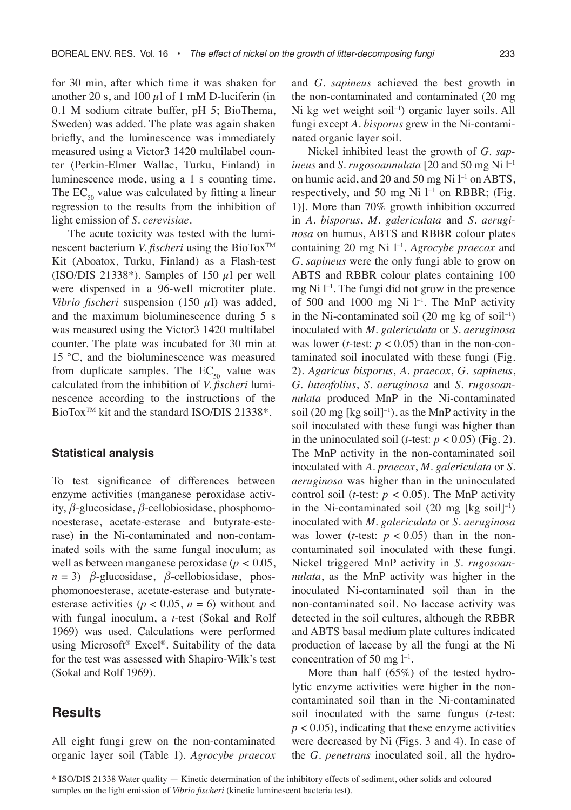for 30 min, after which time it was shaken for another 20 s, and 100  $\mu$ l of 1 mM D-luciferin (in 0.1 M sodium citrate buffer, pH 5; BioThema, Sweden) was added. The plate was again shaken briefly, and the luminescence was immediately measured using a Victor3 1420 multilabel counter (Perkin-Elmer Wallac, Turku, Finland) in luminescence mode, using a 1 s counting time. The  $EC_{50}$  value was calculated by fitting a linear regression to the results from the inhibition of light emission of *S. cerevisiae*.

The acute toxicity was tested with the luminescent bacterium *V. fischeri* using the BioTox<sup>™</sup> Kit (Aboatox, Turku, Finland) as a Flash-test (ISO/DIS 21338\*). Samples of 150  $\mu$ l per well were dispensed in a 96-well microtiter plate. *Vibrio fischeri* suspension (150  $\mu$ l) was added, and the maximum bioluminescence during 5 s was measured using the Victor3 1420 multilabel counter. The plate was incubated for 30 min at 15 °C, and the bioluminescence was measured from duplicate samples. The  $EC_{50}$  value was calculated from the inhibition of *V. fischeri* luminescence according to the instructions of the BioTox<sup>™</sup> kit and the standard ISO/DIS 21338<sup>\*</sup>.

#### **Statistical analysis**

To test significance of differences between enzyme activities (manganese peroxidase activity, *β*-glucosidase, *β*-cellobiosidase, phosphomonoesterase, acetate-esterase and butyrate-esterase) in the Ni-contaminated and non-contaminated soils with the same fungal inoculum; as well as between manganese peroxidase (*p* < 0.05,  $n = 3$ ) *β*-glucosidase, *β*-cellobiosidase, phosphomonoesterase, acetate-esterase and butyrateesterase activities ( $p < 0.05$ ,  $n = 6$ ) without and with fungal inoculum, a *t*-test (Sokal and Rolf 1969) was used. Calculations were performed using Microsoft® Excel®. Suitability of the data for the test was assessed with Shapiro-Wilk's test (Sokal and Rolf 1969).

### **Results**

All eight fungi grew on the non-contaminated organic layer soil (Table 1). *Agrocybe praecox*  and *G. sapineus* achieved the best growth in the non-contaminated and contaminated (20 mg Ni kg wet weight soil<sup>-1</sup>) organic layer soils. All fungi except *A. bisporus* grew in the Ni-contaminated organic layer soil.

Nickel inhibited least the growth of *G. sapineus* and *S. rugosoannulata* [20 and 50 mg Ni l–1 on humic acid, and 20 and 50 mg Ni  $l^{-1}$  on ABTS, respectively, and 50 mg Ni  $l^{-1}$  on RBBR; (Fig. 1)]. More than 70% growth inhibition occurred in *A. bisporus*, *M. galericulata* and *S. aeruginosa* on humus, ABTS and RBBR colour plates containing 20 mg Ni l–1. *Agrocybe praecox* and *G. sapineus* were the only fungi able to grow on ABTS and RBBR colour plates containing 100 mg Ni  $l^{-1}$ . The fungi did not grow in the presence of 500 and 1000 mg Ni  $l^{-1}$ . The MnP activity in the Ni-contaminated soil (20 mg kg of soil–1) inoculated with *M. galericulata* or *S. aeruginosa* was lower (*t*-test:  $p < 0.05$ ) than in the non-contaminated soil inoculated with these fungi (Fig. 2). *Agaricus bisporus*, *A. praecox*, *G. sapineus*, *G. luteofolius*, *S. aeruginosa* and *S. rugosoannulata* produced MnP in the Ni-contaminated soil  $(20 \text{ mg}$  [kg soil]<sup>-1</sup>), as the MnP activity in the soil inoculated with these fungi was higher than in the uninoculated soil (*t*-test:  $p < 0.05$ ) (Fig. 2). The MnP activity in the non-contaminated soil inoculated with *A. praecox*, *M. galericulata* or *S. aeruginosa* was higher than in the uninoculated control soil (*t*-test:  $p < 0.05$ ). The MnP activity in the Ni-contaminated soil  $(20 \text{ mg}$  [kg soil]<sup>-1</sup>) inoculated with *M. galericulata* or *S. aeruginosa* was lower (*t*-test:  $p < 0.05$ ) than in the noncontaminated soil inoculated with these fungi. Nickel triggered MnP activity in *S. rugosoannulata*, as the MnP activity was higher in the inoculated Ni-contaminated soil than in the non-contaminated soil. No laccase activity was detected in the soil cultures, although the RBBR and ABTS basal medium plate cultures indicated production of laccase by all the fungi at the Ni concentration of 50 mg  $l^{-1}$ .

More than half (65%) of the tested hydrolytic enzyme activities were higher in the noncontaminated soil than in the Ni-contaminated soil inoculated with the same fungus (*t*-test:  $p < 0.05$ ), indicating that these enzyme activities were decreased by Ni (Figs. 3 and 4). In case of the *G. penetrans* inoculated soil, all the hydro-

\* ISO/DIS 21338 Water quality — Kinetic determination of the inhibitory effects of sediment, other solids and coloured samples on the light emission of *Vibrio fischeri* (kinetic luminescent bacteria test).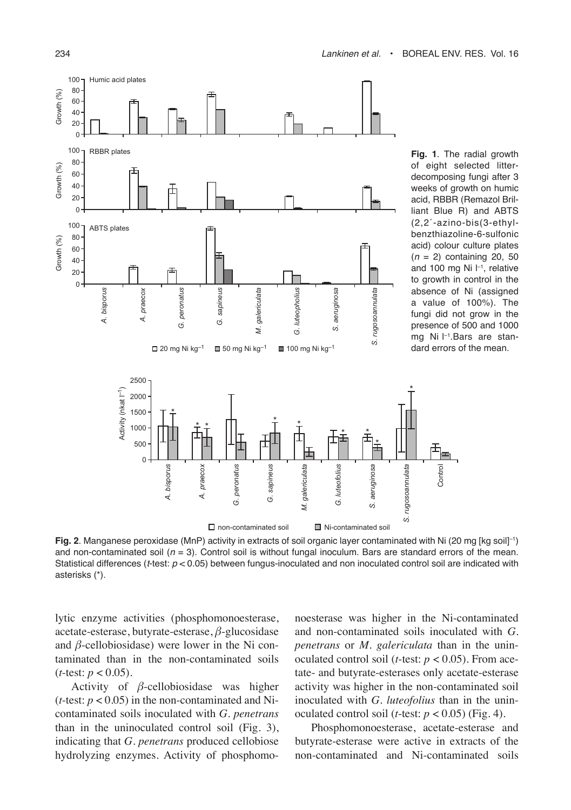

**Fig. 2**. Manganese peroxidase (MnP) activity in extracts of soil organic layer contaminated with Ni (20 mg [kg soil]–1) and non-contaminated soil  $(n = 3)$ . Control soil is without fungal inoculum. Bars are standard errors of the mean. Statistical differences ( $t$ -test:  $p < 0.05$ ) between fungus-inoculated and non inoculated control soil are indicated with asterisks (\*).

lytic enzyme activities (phosphomonoesterase, acetate-esterase, butyrate-esterase, *β*-glucosidase and  $\beta$ -cellobiosidase) were lower in the Ni contaminated than in the non-contaminated soils  $(t$ -test:  $p < 0.05$ ).

Activity of *β*-cellobiosidase was higher (*t*-test:  $p < 0.05$ ) in the non-contaminated and Nicontaminated soils inoculated with *G. penetrans* than in the uninoculated control soil (Fig. 3), indicating that *G. penetrans* produced cellobiose hydrolyzing enzymes. Activity of phosphomonoesterase was higher in the Ni-contaminated and non-contaminated soils inoculated with *G. penetrans* or *M. galericulata* than in the uninoculated control soil (*t*-test:  $p < 0.05$ ). From acetate- and butyrate-esterases only acetate-esterase activity was higher in the non-contaminated soil inoculated with *G. luteofolius* than in the uninoculated control soil (*t*-test:  $p < 0.05$ ) (Fig. 4).

Phosphomonoesterase, acetate-esterase and butyrate-esterase were active in extracts of the non-contaminated and Ni-contaminated soils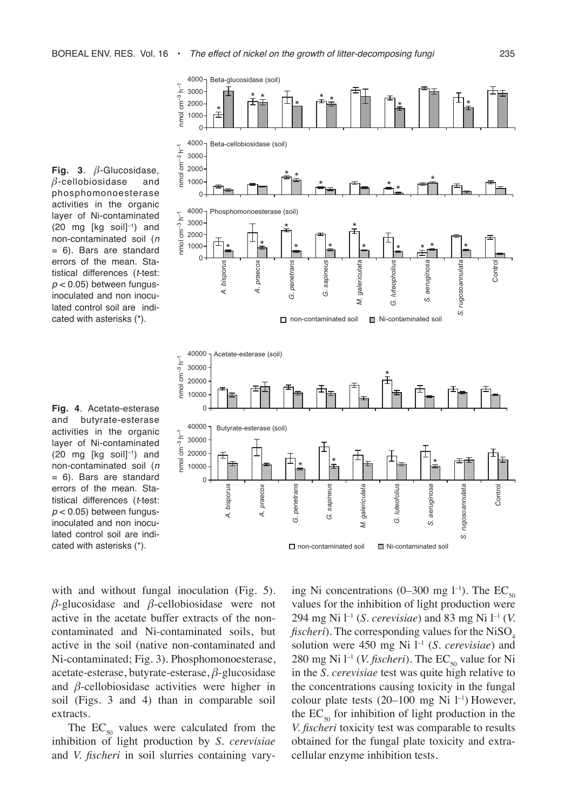**Fig. 3**. *β*-Glucosidase, *β*-cellobiosidase and phosphomonoesterase activities in the organic layer of Ni-contaminated  $(20 \text{ mg}$  [kg soil]<sup>-1</sup>) and non-contaminated soil (n = 6). Bars are standard errors of the mean. Statistical differences (t-test:  $p < 0.05$ ) between fungusinoculated and non inoculated control soil are indicated with asterisks (\*).

**Fig. 4**. Acetate-esterase and butyrate-esterase activities in the organic layer of Ni-contaminated  $(20 \text{ mg}$  [kg soil] $^{-1}$ ) and non-contaminated soil (n = 6). Bars are standard errors of the mean. Statistical differences (t-test:  $p < 0.05$ ) between fungusinoculated and non inoculated control soil are indicated with asterisks (\*).

with and without fungal inoculation (Fig. 5). *β*-glucosidase and *β*-cellobiosidase were not active in the acetate buffer extracts of the noncontaminated and Ni-contaminated soils, but active in the soil (native non-contaminated and Ni-contaminated; Fig. 3). Phosphomonoesterase, acetate-esterase, butyrate-esterase, *β*-glucosidase and *β*-cellobiosidase activities were higher in soil (Figs. 3 and 4) than in comparable soil extracts.

The  $EC_{50}$  values were calculated from the inhibition of light production by *S. cerevisiae* and *V. fischeri* in soil slurries containing varying Ni concentrations (0–300 mg l<sup>-1</sup>). The  $EC_{50}$ values for the inhibition of light production were 294 mg Ni l–1 (*S. cerevisiae*) and 83 mg Ni l–1 (*V. fischeri*). The corresponding values for the NiSO. solution were 450 mg Ni l–1 (*S. cerevisiae*) and 280 mg Ni l<sup>-1</sup> (*V. fischeri*). The EC<sub>50</sub> value for Ni in the *S. cerevisiae* test was quite high relative to the concentrations causing toxicity in the fungal colour plate tests  $(20-100 \text{ mg Ni } l^{-1})$  However, the  $EC_{50}$  for inhibition of light production in the *V. fischeri* toxicity test was comparable to results obtained for the fungal plate toxicity and extracellular enzyme inhibition tests.

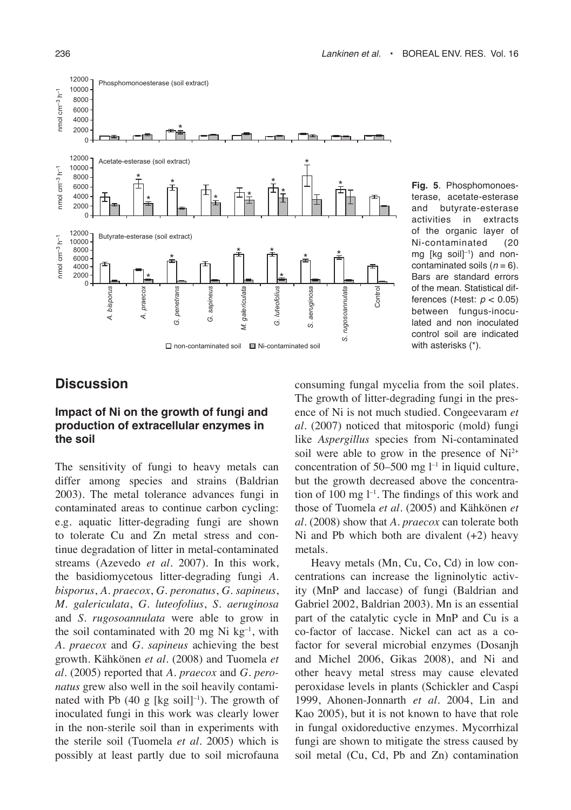

**Fig. 5**. Phosphomonoesterase, acetate-esterase and butyrate-esterase<br>activities in extracts in extracts of the organic layer of Ni-contaminated (20 mg [kg soil] $^{-1}$ ) and noncontaminated soils  $(n = 6)$ . Bars are standard errors of the mean. Statistical differences (*t*-test:  $p < 0.05$ ) between fungus-inoculated and non inoculated control soil are indicated with asterisks (\*).

# **Discussion**

### **Impact of Ni on the growth of fungi and production of extracellular enzymes in the soil**

The sensitivity of fungi to heavy metals can differ among species and strains (Baldrian 2003). The metal tolerance advances fungi in contaminated areas to continue carbon cycling: e.g. aquatic litter-degrading fungi are shown to tolerate Cu and Zn metal stress and continue degradation of litter in metal-contaminated streams (Azevedo *et al.* 2007). In this work, the basidiomycetous litter-degrading fungi *A. bisporus*, *A. praecox*, *G. peronatus*, *G. sapineus*, *M. galericulata*, *G. luteofolius*, *S. aeruginosa* and *S. rugosoannulata* were able to grow in the soil contaminated with 20 mg Ni  $kg^{-1}$ , with *A. praecox* and *G. sapineus* achieving the best growth. Kähkönen *et al.* (2008) and Tuomela *et al.* (2005) reported that *A. praecox* and *G. peronatus* grew also well in the soil heavily contaminated with Pb  $(40 \text{ g}$  [kg soil]<sup>-1</sup>). The growth of inoculated fungi in this work was clearly lower in the non-sterile soil than in experiments with the sterile soil (Tuomela *et al.* 2005) which is possibly at least partly due to soil microfauna

consuming fungal mycelia from the soil plates. The growth of litter-degrading fungi in the presence of Ni is not much studied. Congeevaram *et al.* (2007) noticed that mitosporic (mold) fungi like *Aspergillus* species from Ni-contaminated soil were able to grow in the presence of  $Ni<sup>2+</sup>$ concentration of 50–500 mg  $l^{-1}$  in liquid culture, but the growth decreased above the concentration of 100 mg  $l^{-1}$ . The findings of this work and those of Tuomela *et al.* (2005) and Kähkönen *et al.* (2008) show that *A. praecox* can tolerate both Ni and Pb which both are divalent  $(+2)$  heavy metals.

Heavy metals (Mn, Cu, Co, Cd) in low concentrations can increase the ligninolytic activity (MnP and laccase) of fungi (Baldrian and Gabriel 2002, Baldrian 2003). Mn is an essential part of the catalytic cycle in MnP and Cu is a co-factor of laccase. Nickel can act as a cofactor for several microbial enzymes (Dosanjh and Michel 2006, Gikas 2008), and Ni and other heavy metal stress may cause elevated peroxidase levels in plants (Schickler and Caspi 1999, Ahonen-Jonnarth *et al.* 2004, Lin and Kao 2005), but it is not known to have that role in fungal oxidoreductive enzymes. Mycorrhizal fungi are shown to mitigate the stress caused by soil metal (Cu, Cd, Pb and Zn) contamination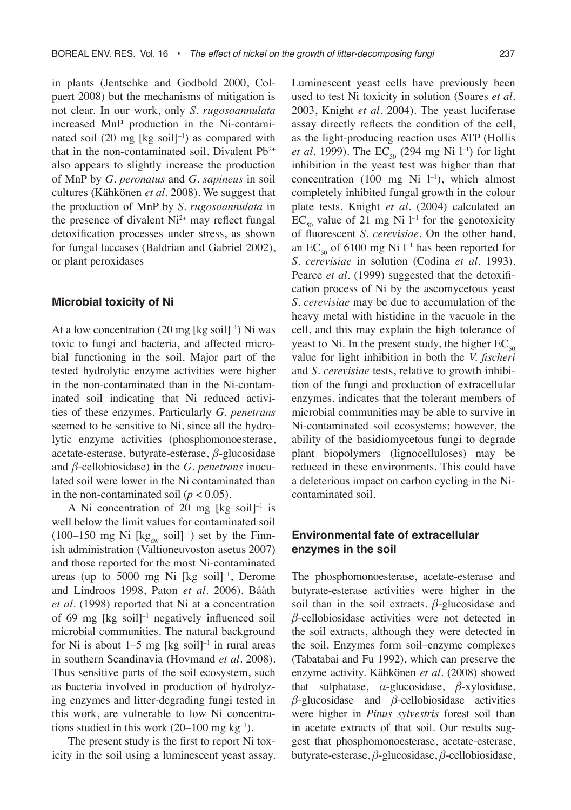in plants (Jentschke and Godbold 2000, Colpaert 2008) but the mechanisms of mitigation is not clear. In our work, only *S. rugosoannulata* increased MnP production in the Ni-contaminated soil (20 mg [kg soil]<sup>-1</sup>) as compared with that in the non-contaminated soil. Divalent  $Pb^{2+}$ also appears to slightly increase the production of MnP by *G. peronatus* and *G. sapineus* in soil cultures (Kähkönen *et al.* 2008). We suggest that the production of MnP by *S. rugosoannulata* in the presence of divalent  $Ni<sup>2+</sup>$  may reflect fungal detoxification processes under stress, as shown for fungal laccases (Baldrian and Gabriel 2002), or plant peroxidases

#### **Microbial toxicity of Ni**

At a low concentration  $(20 \text{ mg}$  [kg soil]<sup>-1</sup>) Ni was toxic to fungi and bacteria, and affected microbial functioning in the soil. Major part of the tested hydrolytic enzyme activities were higher in the non-contaminated than in the Ni-contaminated soil indicating that Ni reduced activities of these enzymes. Particularly *G. penetrans*  seemed to be sensitive to Ni, since all the hydrolytic enzyme activities (phosphomonoesterase, acetate-esterase, butyrate-esterase, *β*-glucosidase and *β*-cellobiosidase) in the *G. penetrans* inoculated soil were lower in the Ni contaminated than in the non-contaminated soil  $(p < 0.05)$ .

A Ni concentration of 20 mg [kg soil] $^{-1}$  is well below the limit values for contaminated soil (100–150 mg Ni  $[\text{kg}_{dw} \text{ soil}]^{-1}$ ) set by the Finnish administration (Valtioneuvoston asetus 2007) and those reported for the most Ni-contaminated areas (up to 5000 mg Ni [kg soil] $^{-1}$ , Derome and Lindroos 1998, Paton *et al.* 2006). Bååth *et al.* (1998) reported that Ni at a concentration of 69 mg [kg soil]–1 negatively influenced soil microbial communities. The natural background for Ni is about  $1-5$  mg [kg soil]<sup>-1</sup> in rural areas in southern Scandinavia (Hovmand *et al.* 2008). Thus sensitive parts of the soil ecosystem, such as bacteria involved in production of hydrolyzing enzymes and litter-degrading fungi tested in this work, are vulnerable to low Ni concentrations studied in this work  $(20-100 \text{ mg kg}^{-1})$ .

The present study is the first to report Ni toxicity in the soil using a luminescent yeast assay. Luminescent yeast cells have previously been used to test Ni toxicity in solution (Soares *et al.* 2003, Knight *et al.* 2004). The yeast luciferase assay directly reflects the condition of the cell, as the light-producing reaction uses ATP (Hollis *et al.* 1999). The  $EC_{50}$  (294 mg Ni l<sup>-1</sup>) for light inhibition in the yeast test was higher than that concentration (100 mg Ni  $1^{-1}$ ), which almost completely inhibited fungal growth in the colour plate tests. Knight *et al.* (2004) calculated an  $EC_{50}$  value of 21 mg Ni l<sup>-1</sup> for the genotoxicity of fluorescent *S. cerevisiae*. On the other hand, an  $EC_{50}$  of 6100 mg Ni l<sup>-1</sup> has been reported for *S. cerevisiae* in solution (Codina *et al.* 1993). Pearce *et al.* (1999) suggested that the detoxification process of Ni by the ascomycetous yeast *S. cerevisiae* may be due to accumulation of the heavy metal with histidine in the vacuole in the cell, and this may explain the high tolerance of yeast to Ni. In the present study, the higher  $EC_{50}$ value for light inhibition in both the *V. fischeri* and *S. cerevisiae* tests, relative to growth inhibition of the fungi and production of extracellular enzymes, indicates that the tolerant members of microbial communities may be able to survive in Ni-contaminated soil ecosystems; however, the ability of the basidiomycetous fungi to degrade plant biopolymers (lignocelluloses) may be reduced in these environments. This could have a deleterious impact on carbon cycling in the Nicontaminated soil.

### **Environmental fate of extracellular enzymes in the soil**

The phosphomonoesterase, acetate-esterase and butyrate-esterase activities were higher in the soil than in the soil extracts.  $\beta$ -glucosidase and *β*-cellobiosidase activities were not detected in the soil extracts, although they were detected in the soil. Enzymes form soil–enzyme complexes (Tabatabai and Fu 1992), which can preserve the enzyme activity. Kähkönen *et al.* (2008) showed that sulphatase, *α*-glucosidase, *β*-xylosidase, *β*-glucosidase and *β*-cellobiosidase activities were higher in *Pinus sylvestris* forest soil than in acetate extracts of that soil. Our results suggest that phosphomonoesterase, acetate-esterase, butyrate-esterase, *β*-glucosidase, *β*-cellobiosidase,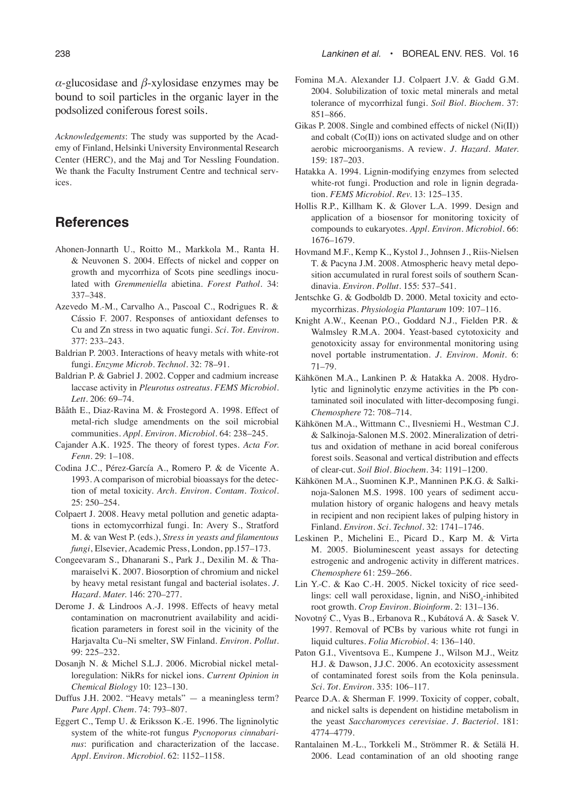*α*-glucosidase and *β*-xylosidase enzymes may be bound to soil particles in the organic layer in the podsolized coniferous forest soils.

*Acknowledgements*: The study was supported by the Academy of Finland, Helsinki University Environmental Research Center (HERC), and the Maj and Tor Nessling Foundation. We thank the Faculty Instrument Centre and technical services.

# **References**

- Ahonen-Jonnarth U., Roitto M., Markkola M., Ranta H. & Neuvonen S. 2004. Effects of nickel and copper on growth and mycorrhiza of Scots pine seedlings inoculated with *Gremmeniella* abietina. *Forest Pathol.* 34: 337–348.
- Azevedo M.-M., Carvalho A., Pascoal C., Rodrigues R. & Cássio F. 2007. Responses of antioxidant defenses to Cu and Zn stress in two aquatic fungi. *Sci. Tot. Environ.*  377: 233–243.
- Baldrian P. 2003. Interactions of heavy metals with white-rot fungi. *Enzyme Microb. Technol.* 32: 78–91.
- Baldrian P. & Gabriel J. 2002. Copper and cadmium increase laccase activity in *Pleurotus ostreatus*. *FEMS Microbiol. Lett.* 206: 69–74.
- Bååth E., Diaz-Ravina M. & Frostegord A. 1998. Effect of metal-rich sludge amendments on the soil microbial communities. *Appl. Environ. Microbiol.* 64: 238–245.
- Cajander A.K. 1925. The theory of forest types. *Acta For. Fenn*. 29: 1–108.
- Codina J.C., Pérez-García A., Romero P. & de Vicente A. 1993. A comparison of microbial bioassays for the detection of metal toxicity. *Arch. Environ. Contam. Toxicol.* 25: 250–254.
- Colpaert J. 2008. Heavy metal pollution and genetic adaptations in ectomycorrhizal fungi. In: Avery S., Stratford M. & van West P. (eds.), *Stress in yeasts and filamentous fungi*, Elsevier, Academic Press, London, pp.157–173.
- Congeevaram S., Dhanarani S., Park J., Dexilin M. & Thamaraiselvi K. 2007. Biosorption of chromium and nickel by heavy metal resistant fungal and bacterial isolates. *J. Hazard. Mater.* 146: 270–277.
- Derome J. & Lindroos A.-J. 1998. Effects of heavy metal contamination on macronutrient availability and acidification parameters in forest soil in the vicinity of the Harjavalta Cu–Ni smelter, SW Finland. *Environ. Pollut.*  99: 225–232.
- Dosanjh N. & Michel S.L.J. 2006. Microbial nickel metalloregulation: NikRs for nickel ions. *Current Opinion in Chemical Biology* 10: 123–130.
- Duffus J.H. 2002. "Heavy metals" a meaningless term? *Pure Appl. Chem.* 74: 793–807.
- Eggert C., Temp U. & Eriksson K.-E. 1996. The ligninolytic system of the white-rot fungus *Pycnoporus cinnabarinus*: purification and characterization of the laccase. *Appl. Environ. Microbiol.* 62: 1152–1158.
- Fomina M.A. Alexander I.J. Colpaert J.V. & Gadd G.M. 2004. Solubilization of toxic metal minerals and metal tolerance of mycorrhizal fungi. *Soil Biol. Biochem.* 37: 851–866.
- Gikas P. 2008. Single and combined effects of nickel (Ni(II)) and cobalt (Co(II)) ions on activated sludge and on other aerobic microorganisms. A review*. J. Hazard. Mater.* 159: 187–203.
- Hatakka A. 1994. Lignin-modifying enzymes from selected white-rot fungi. Production and role in lignin degradation. *FEMS Microbiol. Rev.* 13: 125–135.
- Hollis R.P., Killham K. & Glover L.A. 1999. Design and application of a biosensor for monitoring toxicity of compounds to eukaryotes. *Appl. Environ. Microbiol.* 66: 1676–1679.
- Hovmand M.F., Kemp K., Kystol J., Johnsen J., Riis-Nielsen T. & Pacyna J.M. 2008. Atmospheric heavy metal deposition accumulated in rural forest soils of southern Scandinavia. *Environ. Pollut.* 155: 537–541.
- Jentschke G. & Godboldb D. 2000. Metal toxicity and ectomycorrhizas. *Physiologia Plantarum* 109: 107–116.
- Knight A.W., Keenan P.O., Goddard N.J., Fielden P.R. & Walmsley R.M.A. 2004. Yeast-based cytotoxicity and genotoxicity assay for environmental monitoring using novel portable instrumentation. *J. Environ. Monit.* 6: 71–79.
- Kähkönen M.A., Lankinen P. & Hatakka A. 2008. Hydrolytic and ligninolytic enzyme activities in the Pb contaminated soil inoculated with litter-decomposing fungi. *Chemosphere* 72: 708–714.
- Kähkönen M.A., Wittmann C., Ilvesniemi H., Westman C.J. & Salkinoja-Salonen M.S. 2002. Mineralization of detritus and oxidation of methane in acid boreal coniferous forest soils. Seasonal and vertical distribution and effects of clear-cut. *Soil Biol. Biochem.* 34: 1191–1200.
- Kähkönen M.A., Suominen K.P., Manninen P.K.G. & Salkinoja-Salonen M.S. 1998. 100 years of sediment accumulation history of organic halogens and heavy metals in recipient and non recipient lakes of pulping history in Finland. *Environ. Sci. Technol.* 32: 1741–1746.
- Leskinen P., Michelini E., Picard D., Karp M. & Virta M. 2005. Bioluminescent yeast assays for detecting estrogenic and androgenic activity in different matrices. *Chemosphere* 61: 259–266.
- Lin Y.-C. & Kao C.-H. 2005. Nickel toxicity of rice seedlings: cell wall peroxidase, lignin, and  $\text{NiSO}_4$ -inhibited root growth. *Crop Environ. Bioinform.* 2: 131–136.
- Novotný C., Vyas B., Erbanova R., Kubátová A. & Sasek V. 1997. Removal of PCBs by various white rot fungi in liquid cultures. *Folia Microbiol.* 4: 136–140.
- Paton G.I., Viventsova E., Kumpene J., Wilson M.J., Weitz H.J. & Dawson, J.J.C. 2006. An ecotoxicity assessment of contaminated forest soils from the Kola peninsula. *Sci. Tot. Environ.* 335: 106–117.
- Pearce D.A. & Sherman F. 1999. Toxicity of copper, cobalt, and nickel salts is dependent on histidine metabolism in the yeast *Saccharomyces cerevisiae*. *J. Bacteriol.* 181: 4774–4779.
- Rantalainen M.-L., Torkkeli M., Strömmer R. & Setälä H. 2006. Lead contamination of an old shooting range